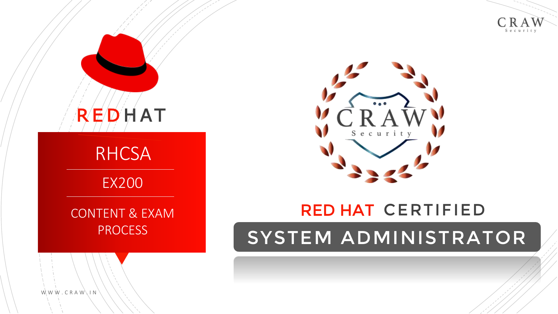





## RED HAT CERTIFIED

# SYSTEM ADMINISTRATOR

 $W W W$ . CRAW  $\backslash$  IN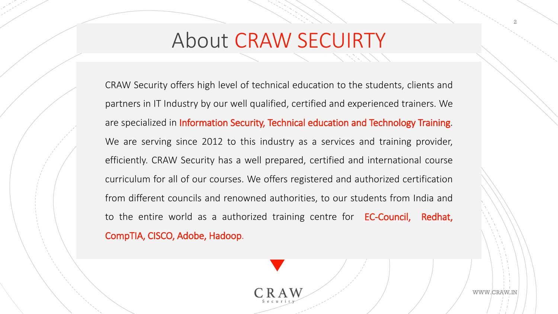# About CRAW SECUIRTY

CRAW Security offers high level of technical education to the students, clients and partners in IT Industry by our well qualified, certified and experienced trainers. We are specialized in Information Security, Technical education and Technology Training. We are serving since 2012 to this industry as a services and training provider, efficiently. CRAW Security has a well prepared, certified and international course curriculum for all of our courses. We offers registered and authorized certification from different councils and renowned authorities, to our students from India and to the entire world as a authorized training centre for **EC-Council, Redhat,** CompTIA, CISCO, Adobe, Hadoop.

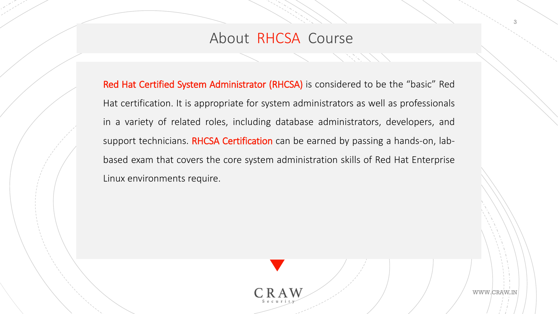#### About RHCSA Course

Red Hat Certified System Administrator (RHCSA) is considered to be the "basic" Red Hat certification. It is appropriate for system administrators as well as professionals in a variety of related roles, including database administrators, developers, and support technicians. RHCSA Certification can be earned by passing a hands-on, labbased exam that covers the core system administration skills of Red Hat Enterprise Linux environments require.

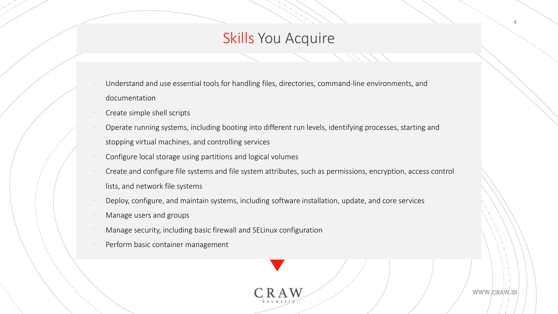### Skills You Acquire

- Understand and use essential tools for handling files, directories, command-line environments, and documentation
- Create simple shell scripts
- Operate running systems, including booting into different run levels, identifying processes, starting and stopping virtual machines, and controlling services
- Configure local storage using partitions and logical volumes
- Create and configure file systems and file system attributes, such as permissions, encryption, access control lists, and network file systems
- Deploy, configure, and maintain systems, including software installation, update, and core services
- Manage users and groups
- Manage security, including basic firewall and SELinux configuration
- Perform basic container management



WWW.CRAW.IN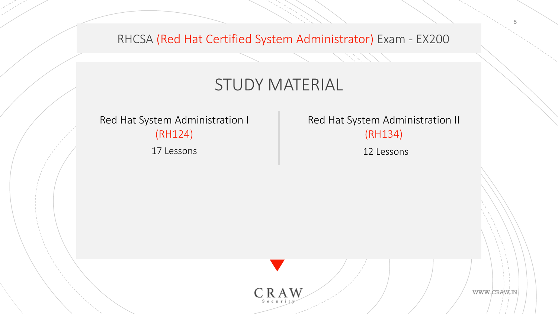RHCSA (Red Hat Certified System Administrator) Exam - EX200

## STUDY MATERIAL

Red Hat System Administration I (RH124)

17 Lessons 12 Lessons

Red Hat System Administration II (RH134)



WWW.CRAW.IN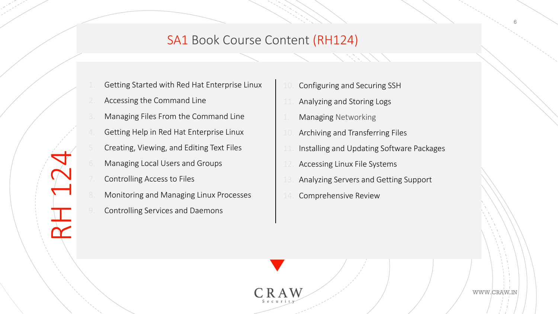#### SA1 Book Course Content (RH124)

- Getting Started with Red Hat Enterprise Linux
- Accessing the Command Line
- 3. Managing Files From the Command Line
- 4. Getting Help in Red Hat Enterprise Linux
- 5. Creating, Viewing, and Editing Text Files
- 6. Managing Local Users and Groups
- Controlling Access to Files

 $\frac{1}{\gamma}$ 

- Monitoring and Managing Linux Processes
- 9. Controlling Services and Daemons
- Configuring and Securing SSH
- Analyzing and Storing Logs
- Managing Networking
- Archiving and Transferring Files
- Installing and Updating Software Packages
- Accessing Linux File Systems
- 13. Analyzing Servers and Getting Support
- Comprehensive Review

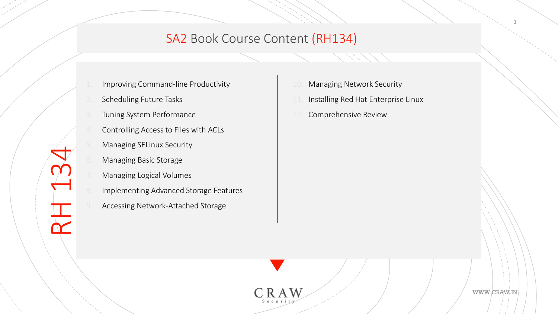#### SA2 Book Course Content (RH134)

- Improving Command-line Productivity
- Scheduling Future Tasks
- Tuning System Performance
- 4. Controlling Access to Files with ACLs
- 5. Managing SELinux Security
- Managing Basic Storage

 $\frac{\Gamma}{\Upsilon}$ 

- Managing Logical Volumes
- Implementing Advanced Storage Features
- 9. Accessing Network-Attached Storage
- 10. Managing Network Security
- 11. Installing Red Hat Enterprise Linux
- 12. Comprehensive Review



WWW.CRAW.IN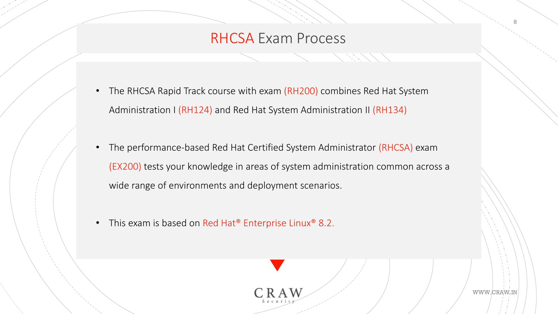#### RHCSA Exam Process

- The RHCSA Rapid Track course with exam (RH200) combines Red Hat System Administration I (RH124) and Red Hat System Administration II (RH134)
- The performance-based Red Hat Certified System Administrator (RHCSA) exam (EX200) tests your knowledge in areas of system administration common across a wide range of environments and deployment scenarios.
- This exam is based on Red Hat<sup>®</sup> Enterprise Linux<sup>®</sup> 8.2.



WWW.CRAW.IN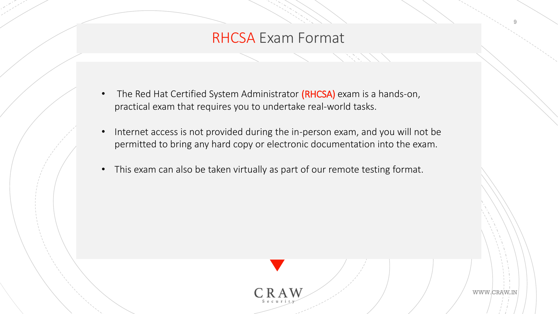### RHCSA Exam Format

- The Red Hat Certified System Administrator (RHCSA) exam is a hands-on, practical exam that requires you to undertake real-world tasks.
- Internet access is not provided during the in-person exam, and you will not be permitted to bring any hard copy or electronic documentation into the exam.
- This exam can also be taken virtually as part of our remote testing format.

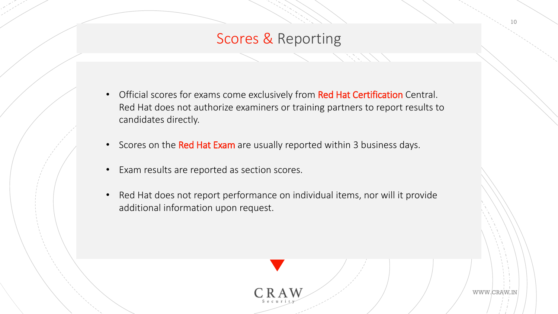## Scores & Reporting

- Official scores for exams come exclusively from Red Hat Certification Central. Red Hat does not authorize examiners or training partners to report results to candidates directly.
- Scores on the Red Hat Exam are usually reported within 3 business days.
- Exam results are reported as section scores.
- Red Hat does not report performance on individual items, nor will it provide additional information upon request.